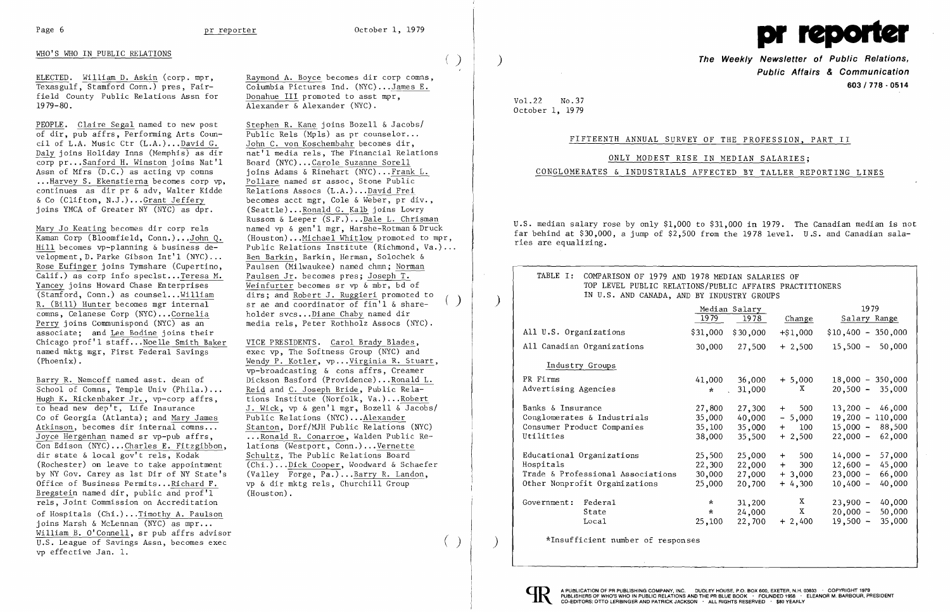

## WHO'S WHO IN PUBLIC RELATIONS ( )

ELECTED. William D. Askin (corp. mpr, Texasgulf, Stamford Conn.) pres, Fairfield County Public Relations As sn for 1979-80.

PEOPLE. Claire Segal named to new post<br>
of dir, pub affrs, Performing Arts Coun-<br>
Public Rels (Mpls) as pr counselor... of dir, pub affrs, Performing Arts Coun-<br>cil of L.A. Music Ctr  $(L.A.)$ ...David G. John C. von Koschembahr becomes dir. cil of L.A. Music Ctr  $(L.A.)...$  David G.<br>Daly joins Holiday Inns (Memphis) as dir corp pr... Sanford H. Winston joins Nat'l<br>Assn of Mfrs  $(D.C.)$  as acting vp comns ...Harvey S. Ekenstierna becomes corp vp, Pollare named sr assoc, Stone Public<br>continues as dir pr & adv, Walter Kidde Relations Assocs (L.A.)...David Frei continues as dir pr  $\&$  adv, Walter Kidde  $&$  Co (Clifton, N.J.) ...Grant Jeffery & Co (Clifton, N.J.)... Grant Jeffery<br>ioins YMCA of Greater NY (NYC) as dpr. (Seattle)... Ronald G. Kalb ioins Lowry

velopment, D. Parke Gibson Int'1 (NYC)...<br>Rose Eufinger joins Tymshare (Cupertino, Paulsen (Milwaukee) named chmn; Norman Rose Eufinger joins Tymshare (Cupertino, Calif.) as corp info speclst...Teresa M. Paulsen Jr. becomes pres; Joseph T.<br>Yancey joins Howard Chase Enterprises Weinfurter becomes sr vp & mbr, bd c Yancey joins Howard Chase Enterprises<br>
(Stamford, Conn.) as counsel...William<br>
dirs; and Robert J. Ruggieri promoted (Stamford, Conn.) as counsel... $\underline{\text{William}}$  dirs; and Robert J. Ruggieri promoted to R. (Bill) Hunter becomes mgr internal sr ae and coordinator of fin'l & share-R. (Bill) Hunter becomes mgr internal sr ae and coordinator of fin'l & sharecomns, Celanese Corp (NYC)...Cornelia holder svcs... Diane Chaby named dir<br>Perry joins Communispond (NYC) as an an media rels, Peter Rothholz Assocs (N associate; and Lee Bodine joins their Chicago prof'l staff... Noelle Smith Baker VICE PRESIDENTS. Carol Brady Blades,<br>named mktg mgr, First Federal Savings exec vp. The Softness Group (NYC) and named mktg mgr, First Federal Savings<br>
(Phoenix).<br>
Wendy P. Kotler, vp...Virginia R. Stuare, 1997)

Raymond A. Boyce becomes dir corp comns, Columbia Pictures Ind. (NYC)...James E. Donahue III promoted to asst mpr, Alexander & Alexander (NYC).

nat'l media rels, The Financial Relations<br>Board (NYC)...Carole Suzanne Sorell joins Adams & Rinehart (NYC)... Frank L.<br>Pollare named sr assoc, Stone Public (Seattle)...Ronald G. Kalb joins Lowry Russom & Leeper (S.F.) ...Dale L. Chrisman Mary Jo Keating becomes dir corp rels named vp & gen'l mgr, Harshe-Rotman & Druck<br>Kaman Corp (Bloomfield, Conn.)...John Q. (Houston)...Michael Whitlow promoted to mp Kaman Corp (Bloomfield, Conn.)...John Q. (Houston)...Michael Whitlow promoted to mpr,<br>Hill becomes vp-planning & business de-<br>Public Relations Institute (Richmond, Va.)... Public Relations Institute (Richmond, Va.)...<br>Ben Barkin, Barkin, Herman, Solochek & media rels, Peter Rothholz Assocs (NYC).

Wendy P. Kotler, vp...Virginia R. Stuart, vp-broadcasting & cons affrs, Creamer J. Wick, vp & gen'l mgr, Bozell & Jacobs/<br>Public Relations (NYC)...Alexander ... Ronald R. Conarroe, Walden Public Re-<br>lations (Westport, Conn.)... Vernette Schultz. The Public Relations Board (Rochester) on leave to take appointment (Chi.)... Dick Cooper, Woodward & Schaefer<br>by NY Gov. Carey as 1st Dir of NY State's (Valley Forge. Pa.)...Barry R. Landon. (Valley Forge, Pa.)... $\frac{Barry R.$  Landon,<br>vp & dir mktg rels, Churchill Group

Barry R. Nemcoff named asst. dean of Dickson Basford (Providence)... Ronald L.<br>School of Comns, Temple Univ (Phila.)... Reid and C. Joseph Bride, Public Rela-School of Comns, Temple Univ (Phila.)...<br>Hugh K. Rickenbaker Jr., vp-corp affrs, Hugh K. Rickenbaker Jr., vp-corp affrs, tions Institute (Norfolk, Va.)... Robert<br>to head new dep't, Life Insurance J. Wick, vp & gen'l mgr, Bozell & Jacobs Co of Georgia (Atlanta); and Mary James<br>Atkinson, becomes dir internal comns... Atkinson, becomes dir internal comns...<br>
Joyce Hergenhan named sr vp-pub affrs. ...Ronald R. Conarroe, Walden Public Re-Con Edison (NYC)... Charles E. Fitzgibbon, dir state & local gov't rels. Kodak Office of Business Permits... Richard F. vp & dir mk<br>Bregstein named dir, public and prof'l (Houston). Bregstein named dir, public and  $\overline{prof'1}$ . rels, Joint Commission on Accreditation of Hospitals (Chi.) ...Timothy A. Paulson joins Marsh & McLennan  $(NYC)$  as mpr... William B. O'Connell, sr pub affrs advisor U.S. League of Savings Assn, becomes exec vp effective Jan. 1.

**The Weekly Newsletter of Public Relations. Public Affairs & Communication 603/778·0514** 

Vol. 22 No. 37 October 1, 1979

| TABLE I: COMPARISON OF 1979 AND 1978 MEDIAN SALARIES OF<br>TOP LEVEL PUBLIC RELATIONS/PUBLIC AFFAIRS PRACTITIONERS<br>IN U.S. AND CANADA, AND BY INDUSTRY GROUPS |                                      |                                      |                                                      |                                                        |
|------------------------------------------------------------------------------------------------------------------------------------------------------------------|--------------------------------------|--------------------------------------|------------------------------------------------------|--------------------------------------------------------|
|                                                                                                                                                                  | 1979                                 | Median Salary<br>1978                | Change                                               | 1979<br>Salary R                                       |
| All U.S. Organizations                                                                                                                                           | \$31,000                             | \$30,000                             | $+$ \$1,000                                          | $$10,400 - 3$                                          |
| All Canadian Organizations                                                                                                                                       | 30,000                               | 27,500                               | $+2,500$                                             | $15,500 -$                                             |
| Industry Groups                                                                                                                                                  |                                      |                                      |                                                      |                                                        |
| PR Firms<br>Advertising Agencies                                                                                                                                 | 41,000<br>$\sim 10$<br>$\star$       | 36,000<br>31,000                     | $+ 5,000$<br>X.                                      | $18,000 - 3$<br>$20,500 -$                             |
| Banks & Insurance<br>Conglomerates & Industrials<br>Consumer Product Companies<br>Utilities                                                                      | 27,800<br>35,000<br>35,100<br>38,000 | 40,000<br>35,000<br>35,500           | $27,300 + 500$<br>$-5,000$<br>100<br>$+$<br>$+2,500$ | $13,200 -$<br>$19,200 - 1$<br>$15,000 -$<br>$22,000 -$ |
| Educational Organizations<br>Hospitals<br>Trade & Professional Associations<br>Other Nonprofit Organizations                                                     | 25,500<br>22,300<br>30,000<br>25,000 | 25,000<br>22,000<br>27,000<br>20,700 | $+$ 500<br>300<br>$+$<br>$+3,000$<br>$+4,300$        | $14,000 -$<br>$12,600 -$<br>$23,000 -$<br>$10,400 -$   |
| Government: Federal<br>State<br>Loca1                                                                                                                            | $\star$<br>$\star$<br>25,100         | 31,200<br>24,000<br>22,700           | X<br>$\mathbf{X}$<br>$+2,400$                        | $23,900 -$<br>$20,000 -$<br>$19,500 -$                 |
|                                                                                                                                                                  |                                      |                                      |                                                      |                                                        |

### FIFTEENTH ANNUAL SURVEY OF THE PROFESSION, PART II

ONLY MODEST RISE IN MEDIAN SALARIES;

# CONGLOMERATES & INDUSTRIALS AFFECTED BY TALLER REPORTING LINES

U.S. median salary rose by only \$1,000 to \$31,000 in 1979. The Canadian median is not far behind at \$30,000, a jump of \$2,500 from the 1978 level. U.S. and Canadian salaries are equalizing.

| TABLE I:               | COMPARISON OF 1979 AND 1978 MEDIAN SALARIES OF<br>TOP LEVEL PUBLIC RELATIONS/PUBLIC AFFAIRS PRACTITIONERS<br>IN U.S. AND CANADA, AND BY INDUSTRY GROUPS |          |               |              |                      |  |  |
|------------------------|---------------------------------------------------------------------------------------------------------------------------------------------------------|----------|---------------|--------------|----------------------|--|--|
|                        |                                                                                                                                                         |          | Median Salary |              | 1979                 |  |  |
|                        |                                                                                                                                                         | 1979     | 1978          | Change       | Salary Range         |  |  |
| All U.S. Organizations |                                                                                                                                                         | \$31,000 | \$30,000      | $+$ \$1,000  | $$10,400 - 350,000$  |  |  |
|                        | All Canadian Organizations                                                                                                                              | 30,000   | 27,500        | $+2,500$     | $15,500 - 50,000$    |  |  |
|                        | Industry Groups                                                                                                                                         |          |               |              |                      |  |  |
| PR Firms               |                                                                                                                                                         | 41,000   | 36,000        | $+ 5,000$    | $18,000 - 350,000$   |  |  |
| Advertising Agencies   |                                                                                                                                                         | $\star$  | 31,000        | X.           | $20,500 -$<br>35,000 |  |  |
| Banks & Insurance      |                                                                                                                                                         | 27,800   | 27,300        | 500<br>$+$   | $13,200 -$<br>46,000 |  |  |
|                        | Conglomerates & Industrials                                                                                                                             | 35,000   | 40,000        | $-5,000$     | $19,200 - 110,000$   |  |  |
|                        | Consumer Product Companies                                                                                                                              | 35,100   | 35,000        | 100<br>$+$   | $15,000 -$<br>88,500 |  |  |
| Utilities              |                                                                                                                                                         | 38,000   | 35,500        | $+2,500$     | $22,000 -$<br>62,000 |  |  |
|                        | Educational Organizations                                                                                                                               | 25,500   | 25,000        | 500<br>$+$   | $14,000 -$<br>57,000 |  |  |
| Hospitals              |                                                                                                                                                         | 22,300   | 22,000        | 300<br>$+$   | $12,600 -$<br>45,000 |  |  |
|                        | Trade & Professional Associations                                                                                                                       | 30,000   | 27,000        | $+3,000$     | 66,000<br>$23,000 -$ |  |  |
|                        | Other Nonprofit Organizations                                                                                                                           | 25,000   | 20,700        | $+4,300$     | 40,000<br>$10,400 -$ |  |  |
| Government: Federal    |                                                                                                                                                         | $\star$  | 31,200        | $\mathbf{X}$ | 40,000<br>$23,900 -$ |  |  |
|                        | State                                                                                                                                                   | $\star$  | 24,000        | X —          | $20,000 -$<br>50,000 |  |  |
|                        | Loca1                                                                                                                                                   | 25,100   | 22,700        | $+2,400$     | 35,000<br>$19,500 -$ |  |  |

\*Insufficient number of responses )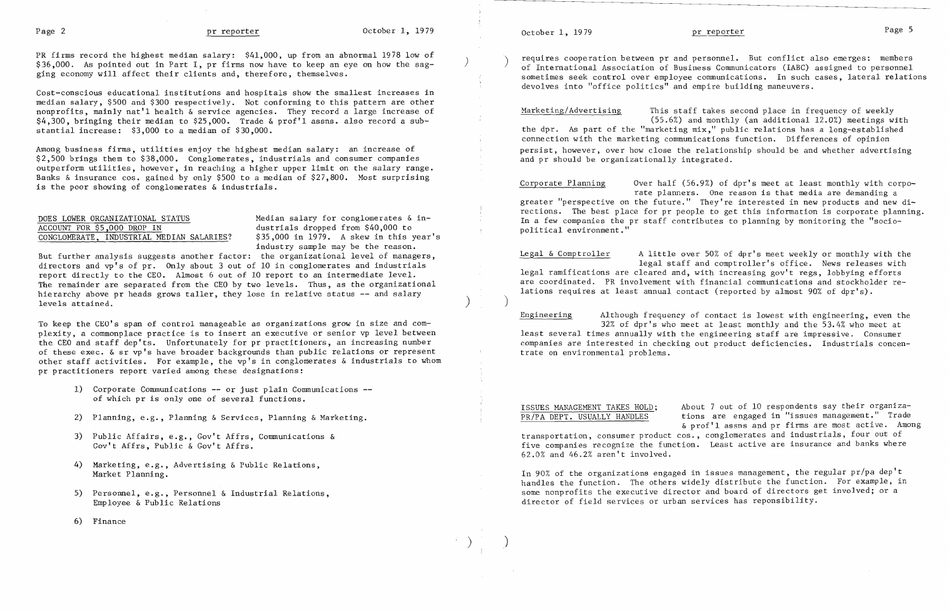PR firms record the highest median salary: \$41,000, up from an abnormal 1978 low of  $$36,000$ . As pointed out in Part I, pr firms now have to keep an eye on how the sagging economy will affect their clients and, therefore, themselves.

Cost-conscious educational institutions and hospitals show the smallest increases in median salary, \$500 and \$300 respectively. Not conforming to this pattern are other nonprofits, mainly nat'l health & service agencies. They record a large increase of \$4,300, bringing their median to \$25,000. Trade & prof'l assns. also record a substantial increase: \$3,000 to a median of \$30,000.

DOES LOWER ORGANIZATIONAL STATUS Median salary for conglomerates & inindustry sample may be the reason.

But further analysis suggests another factor: the organizational level of managers, directors and  $vp's$  of  $pr.$  Only about 3 out of 10 in conglomerates and industrials report directly to the CEO. Almost 6 out of 10 report to an intermediate level. The remainder are separated from the CEO by two levels. Thus, as the organizational hierarchy above pr heads grows taller, they lose in relative status **--** and salary  $\left( \frac{1}{2} \right)$  levels attained.

Among business firms, utilities enjoy the highest median salary: an increase of \$2,500 brings them to \$38,000. Conglomerates, industrials and consumer companies outperform utilities, however, in reaching a higher upper limit on the salary range. Banks & insurance cos. gained by only \$500 to a median of \$27,800. Most surprising is the poor showing of conglomerates & industrials.

# ACCOUNT FOR \$5,000 DROP IN dustrials dropped from \$40,000 to<br>
CONGLOMERATE, INDUSTRIAL MEDIAN SALARIES? \$35,000 in 1979. A skew in this year's CONGLOMERATE, INDUSTRIAL MEDIAN SALARIES?

requires cooperation between pr and personnel. But conflict also emerges: members of International Association of Business Communicators (IABC) assigned to personnel sometimes seek control over employee communications. In such cases, lateral relations devolves into "office politics" and empire building maneuvers.

To keep the CEO's span of control manageable as organizations grow in size and com plexity, a commonplace practice is to insert an executive or senior vp level between the CEO and staff dep'ts. Unfortunately for pr practitioners, an increasing number of these exec. & sr vp's have broader backgrounds than public relations or represent other staff activities. For example, the vp's in conglomerates & industrials to whom pr practitioners report varied among these designations:

- 1) Corporate Communications **--** or just plain Communications of which pr is only one of several functions.
- 2) Planning, e.g., Planning & Services, Planning & Marketing.
- 3) Public Affairs, e.g., Gov't Affrs, Communications & Gov't Affrs, Public & Gov't Affrs.
- 4) Marketing, e.g., Advertising & Public Relations, Market Planning.
- 5) Personnel, e.g., Personnel & Industrial Relations, Employee & Public Relations
- 6) Finance

October 1, 1979 **pr reporter produced produced produced produced produced produced produced produced produced produced produced produced produced produced produced produced produced prod** 

Marketing/Advertising This staff takes second place in frequency of weekly (55.6%) and monthly (an additional 12.0%) meetings with the dpr. As part of the "marketing mix," public relations has a long-established connection with the marketing communications function. Differences of opinion persist, however, over how close the relationship should be and whether advertising and pr should be organizationally integrated.

Corporate Planning Over half (56.9%) of dpr's meet at least monthly with corporate planners. One reason is that media are demanding a greater "perspective on the future." They're interested in new products and new directions. The best place for pr people to get this information is corporate planning. In a few companies the pr staff contributes to planning by monitoring the "sociopolitical environment."

Legal & Comptroller A little over 50% of dpr's meet weekly or monthly with the legal staff and comptroller's office. News releases with legal ramifications are cleared and, with increasing gov't regs, lobbying efforts are coordinated. PR involvement with financial communications and stockholder relations requires at least annual contact (reported by almost 90% of dpr's).

)

 $\sum_{i=1}^{n}$ 

 $\big)$ 

Engineering Although frequency of contact is lowest with engineering, even the 32% of dpr's who meet at least monthly and the 53.4% who meet at least several times annually with the engineering staff are impressive. Consumer companies are interested in checking out product deficiencies. Industrials concentrate on environmental problems.

ISSUES MANAGEMENT TAKES HOLD; About 7 out of 10 respondents say their organiza-PR/PA DEPT. USUALLY HANDLES tions are engaged in "issues management." Trade &prof'l assns and pr firms are most active. Among transportation, consumer product cos., conglomerates and industrials, four out of five companies recognize the function. Least active are insurance and banks where 62.0% and 46.2% aren't involved.

In 90% of the organizations engaged in issues management, the regular pr/pa dep't handles the function. The others widely distribute the function. For example, in some nonprofits the executive director and board of directors get involved; or a director of field services or urban services has reponsibility.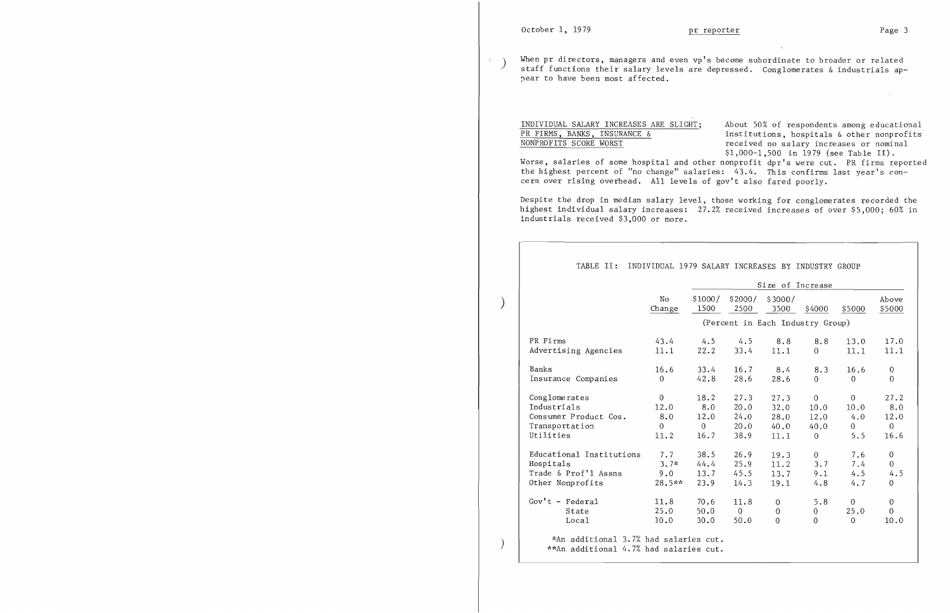)

 $\left( \right)$ 

When pr directors, managers and even vp's become subordinate to broader or related  $\mathcal{A}^{\pm}$ ) staff functions their salary levels are depressed. Conglomerates & industrials appear to have been most affected.

INDIVIDUAL SALARY INCREASES ARE SLIGHT; About 50% of respondents among educational<br>PR FIRMS, BANKS, INSURANCE & institutions, hospitals & other nonprofits PR FIRMS, BANKS, INSURANCE  $\&$  institutions, hospitals  $\&$  other nonprofits<br>NONPROFITS SCORE WORST received no salary increases or nominal received no salary increases or nominal \$1,000-1,500 in 1979 (see Table II). Worse, salaries of some hospital and other nonprofit dpr's were cut. PR firms reported the highest percent of "no change" salaries: 43.4. This confirms last year's concern over rising overhead. All levels of gov't also fared poorly.

Despite the drop in median salary level, those working for conglomerates recorded the highest individual salary increases: 27.2% received increases of over \$5,000; 60% in industrials received \$3,000 or more.

|                          | Size of Increase |                |                |                                  |                |                |                |
|--------------------------|------------------|----------------|----------------|----------------------------------|----------------|----------------|----------------|
|                          | N <sub>o</sub>   | \$1000/        | \$2000/        | \$3000/                          |                |                | Above          |
|                          | Change           | 1500           | 2500           | 3500                             | \$4000         | \$5000         | \$5000         |
|                          |                  |                |                | (Percent in Each Industry Group) |                |                |                |
| PR Firms                 | 43.4             | 4.5            | 4.5            | 8.8                              | 8.8            | 13.0           | 17.0           |
| Advertising Agencies     | 11.1             | 22.2           | 33.4           | 11.1                             | $\Omega$       | 11.1           | 11.1           |
| Banks                    | 16.6             | 33.4           | 16.7           | 8.4                              | 8.3            | 16.6           | $\overline{0}$ |
| Insurance Companies      | $\Omega$         | 42.8           | 28.6           | 28.6                             | $\overline{0}$ | $\Omega$       | $\Omega$       |
| Conglomerates            | $\overline{0}$   | 18.2           | 27.3           | 27.3                             | $\overline{0}$ | $\mathbf 0$    | 27.2           |
| Industrials              | 12.0             | 8.0            | 20.0           | 32.0                             | 10.0           | 10.0           | 8.0            |
| Consumer Product Cos.    | 8.0              | 12.0           | 24.0           | 28.0                             | 12.0           | 4.0            | 12.0           |
| Transportation           | $\Omega$         | $\overline{0}$ | 20.0           | 40.0                             | 40.0           | $\overline{0}$ | $\overline{0}$ |
| Utilities                | 11.2             | 16.7           | 38.9           | 11.1                             | $\overline{0}$ | 5.5            | 16.6           |
| Educational Institutions | 7.7              | 38.5           | 26.9           | 19.3                             | $\overline{0}$ | 7.6            | $\overline{0}$ |
| Hospitals                | $3.7*$           | 44.4           | 25.9           | 11.2                             | 3.7            | 7.4            | $\overline{0}$ |
| Trade & Prof'l Assns     | 9.0              | 13.7           | 45.5           | 13.7                             | 9.1            | 4.5            | 4.5            |
| Other Nonprofits         | $28.5**$         | 23.9           | 14.3           | 19.1                             | 4.8            | 4.7            | $\mathbf{0}$   |
| Gov't - Federal          | 11.8             | 70.6           | 11.8           | $\theta$                         | 5.8            | $\overline{0}$ | 0              |
| State                    | 25.0             | 50.0           | $\overline{0}$ | $\boldsymbol{0}$                 | 0              | 25.0           | $\overline{0}$ |
| Local                    | 10.0             | 30.0           | 50.0           | $\overline{0}$                   | $\overline{0}$ | $\overline{0}$ | 10.0           |

 $\sim 10^{11}$